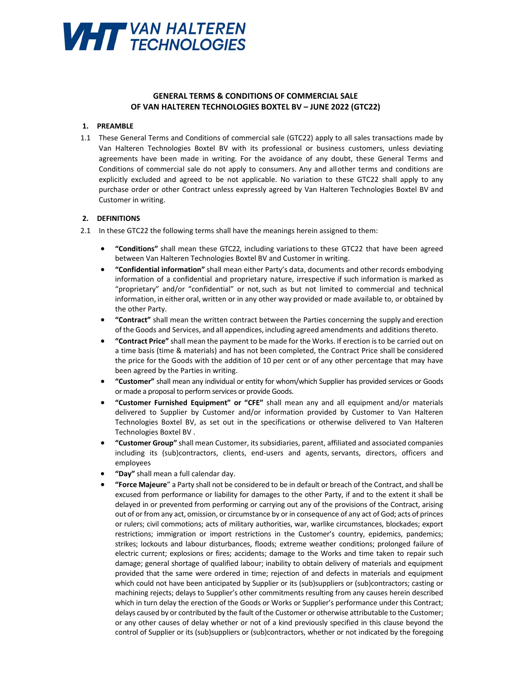

# **GENERAL TERMS & CONDITIONS OF COMMERCIAL SALE OF VAN HALTEREN TECHNOLOGIES BOXTEL BV – JUNE 2022 (GTC22)**

### **1. PREAMBLE**

1.1 These General Terms and Conditions of commercial sale (GTC22) apply to all sales transactions made by Van Halteren Technologies Boxtel BV with its professional or business customers, unless deviating agreements have been made in writing. For the avoidance of any doubt, these General Terms and Conditions of commercial sale do not apply to consumers. Any and all other terms and conditions are explicitly excluded and agreed to be not applicable. No variation to these GTC22 shall apply to any purchase order or other Contract unless expressly agreed by Van Halteren Technologies Boxtel BV and Customer in writing.

#### **2. DEFINITIONS**

- 2.1 In these GTC22 the following terms shall have the meanings herein assigned to them:
	- **"Conditions"** shall mean these GTC22, including variations to these GTC22 that have been agreed between Van Halteren Technologies Boxtel BV and Customer in writing.
	- **"Confidential information"** shall mean either Party's data, documents and other records embodying information of a confidential and proprietary nature, irrespective if such information is marked as "proprietary" and/or "confidential" or not, such as but not limited to commercial and technical information, in either oral, written or in any other way provided or made available to, or obtained by the other Party.
	- **"Contract"** shall mean the written contract between the Parties concerning the supply and erection of the Goods and Services, and all appendices, including agreed amendments and additions thereto.
	- **"Contract Price"** shall mean the payment to be made for the Works. If erection is to be carried out on a time basis (time & materials) and has not been completed, the Contract Price shall be considered the price for the Goods with the addition of 10 per cent or of any other percentage that may have been agreed by the Parties in writing.
	- **"Customer"** shall mean any individual or entity for whom/which Supplier has provided services or Goods or made a proposal to perform services or provide Goods.
	- **"Customer Furnished Equipment" or "CFE"** shall mean any and all equipment and/or materials delivered to Supplier by Customer and/or information provided by Customer to Van Halteren Technologies Boxtel BV, as set out in the specifications or otherwise delivered to Van Halteren Technologies Boxtel BV .
	- **"Customer Group"** shall mean Customer, its subsidiaries, parent, affiliated and associated companies including its (sub)contractors, clients, end-users and agents, servants, directors, officers and employees
	- **"Day"** shall mean a full calendar day.
	- **"Force Majeure**" a Party shall not be considered to be in default or breach of the Contract, and shall be excused from performance or liability for damages to the other Party, if and to the extent it shall be delayed in or prevented from performing or carrying out any of the provisions of the Contract, arising out of or from any act, omission, or circumstance by or in consequence of any act of God; acts of princes or rulers; civil commotions; acts of military authorities, war, warlike circumstances, blockades; export restrictions; immigration or import restrictions in the Customer's country, epidemics, pandemics; strikes; lockouts and labour disturbances, floods; extreme weather conditions; prolonged failure of electric current; explosions or fires; accidents; damage to the Works and time taken to repair such damage; general shortage of qualified labour; inability to obtain delivery of materials and equipment provided that the same were ordered in time; rejection of and defects in materials and equipment which could not have been anticipated by Supplier or its (sub)suppliers or (sub)contractors; casting or machining rejects; delays to Supplier's other commitments resulting from any causes herein described which in turn delay the erection of the Goods or Works or Supplier's performance under this Contract; delays caused by or contributed by the fault of the Customer or otherwise attributable to the Customer; or any other causes of delay whether or not of a kind previously specified in this clause beyond the control of Supplier or its (sub)suppliers or (sub)contractors, whether or not indicated by the foregoing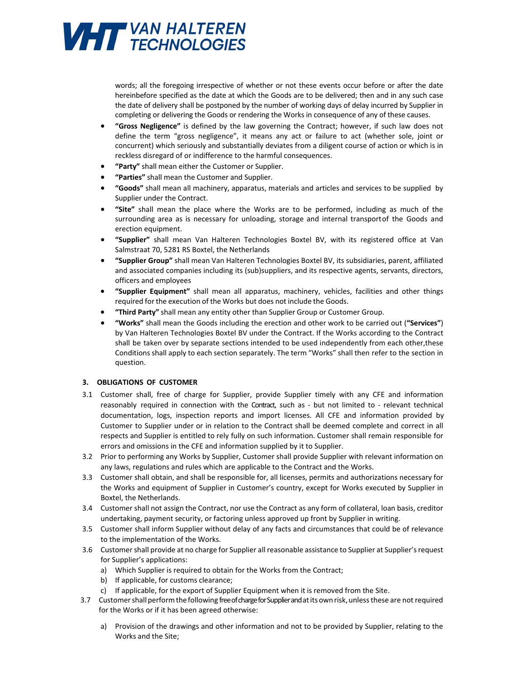

words; all the foregoing irrespective of whether or not these events occur before or after the date hereinbefore specified as the date at which the Goods are to be delivered; then and in any such case the date of delivery shall be postponed by the number of working days of delay incurred by Supplier in completing or delivering the Goods or rendering the Works in consequence of any of these causes.

- **"Gross Negligence"** is defined by the law governing the Contract; however, if such law does not define the term "gross negligence", it means any act or failure to act (whether sole, joint or concurrent) which seriously and substantially deviates from a diligent course of action or which is in reckless disregard of or indifference to the harmful consequences.
- **"Party"** shall mean either the Customer or Supplier.
- **"Parties"** shall mean the Customer and Supplier.
- **"Goods"** shall mean all machinery, apparatus, materials and articles and services to be supplied by Supplier under the Contract.
- **"Site"** shall mean the place where the Works are to be performed, including as much of the surrounding area as is necessary for unloading, storage and internal transport of the Goods and erection equipment.
- **"Supplier"** shall mean Van Halteren Technologies Boxtel BV, with its registered office at Van Salmstraat 70, 5281 RS Boxtel, the Netherlands
- **"Supplier Group"** shall mean Van Halteren Technologies Boxtel BV, its subsidiaries, parent, affiliated and associated companies including its (sub)suppliers, and its respective agents, servants, directors, officers and employees
- **"Supplier Equipment"** shall mean all apparatus, machinery, vehicles, facilities and other things required for the execution of the Works but does not include the Goods.
- **"Third Party"** shall mean any entity other than Supplier Group or Customer Group.
- **"Works"** shall mean the Goods including the erection and other work to be carried out (**"Services"**) by Van Halteren Technologies Boxtel BV under the Contract. If the Works according to the Contract shall be taken over by separate sections intended to be used independently from each other, these Conditions shall apply to each section separately. The term "Works" shall then refer to the section in question.

### **3. OBLIGATIONS OF CUSTOMER**

- 3.1 Customer shall, free of charge for Supplier, provide Supplier timely with any CFE and information reasonably required in connection with the Contract, such as - but not limited to - relevant technical documentation, logs, inspection reports and import licenses. All CFE and information provided by Customer to Supplier under or in relation to the Contract shall be deemed complete and correct in all respects and Supplier is entitled to rely fully on such information. Customer shall remain responsible for errors and omissions in the CFE and information supplied by it to Supplier.
- 3.2 Prior to performing any Works by Supplier, Customer shall provide Supplier with relevant information on any laws, regulations and rules which are applicable to the Contract and the Works.
- 3.3 Customer shall obtain, and shall be responsible for, all licenses, permits and authorizations necessary for the Works and equipment of Supplier in Customer's country, except for Works executed by Supplier in Boxtel, the Netherlands.
- 3.4 Customer shall not assign the Contract, nor use the Contract as any form of collateral, loan basis, creditor undertaking, payment security, or factoring unless approved up front by Supplier in writing.
- 3.5 Customer shall inform Supplier without delay of any facts and circumstances that could be of relevance to the implementation of the Works.
- 3.6 Customer shall provide at no charge for Supplier all reasonable assistance to Supplier at Supplier's request for Supplier's applications:
	- a) Which Supplier is required to obtain for the Works from the Contract;
	- b) If applicable, for customs clearance;
	- c) If applicable, for the export of Supplier Equipment when it is removed from the Site.
- 3.7 Customer shall perform the following free of charge for Supplier and at its own risk, unless these are not required for the Works or if it has been agreed otherwise:
	- a) Provision of the drawings and other information and not to be provided by Supplier, relating to the Works and the Site;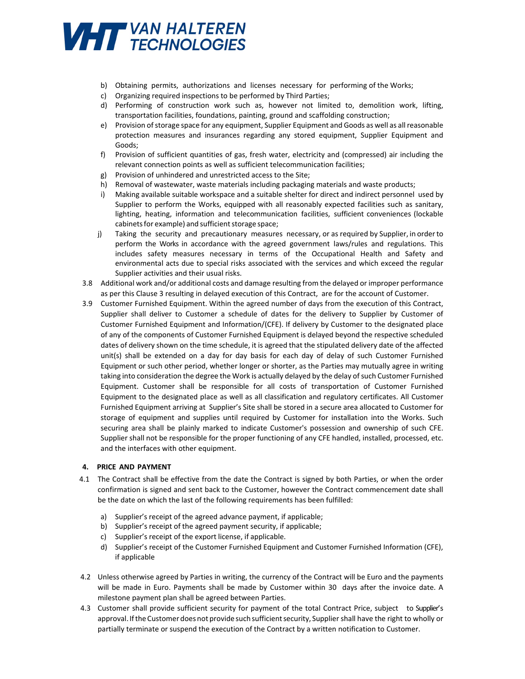

- b) Obtaining permits, authorizations and licenses necessary for performing of the Works;
- c) Organizing required inspections to be performed by Third Parties;
- d) Performing of construction work such as, however not limited to, demolition work, lifting, transportation facilities, foundations, painting, ground and scaffolding construction;
- e) Provision of storage space for any equipment, Supplier Equipment and Goods as well as all reasonable protection measures and insurances regarding any stored equipment, Supplier Equipment and Goods;
- f) Provision of sufficient quantities of gas, fresh water, electricity and (compressed) air including the relevant connection points as well as sufficient telecommunication facilities;
- g) Provision of unhindered and unrestricted access to the Site;
- h) Removal of wastewater, waste materials including packaging materials and waste products;
- i) Making available suitable workspace and a suitable shelter for direct and indirect personnel used by Supplier to perform the Works, equipped with all reasonably expected facilities such as sanitary, lighting, heating, information and telecommunication facilities, sufficient conveniences (lockable cabinets for example) and sufficient storage space;
- j) Taking the security and precautionary measures necessary, or as required by Supplier, in order to perform the Works in accordance with the agreed government laws/rules and regulations. This includes safety measures necessary in terms of the Occupational Health and Safety and environmental acts due to special risks associated with the services and which exceed the regular Supplier activities and their usual risks.
- 3.8 Additional work and/or additional costs and damage resulting from the delayed or improper performance as per this Clause 3 resulting in delayed execution of this Contract, are for the account of Customer.
- 3.9 Customer Furnished Equipment. Within the agreed number of days from the execution of this Contract, Supplier shall deliver to Customer a schedule of dates for the delivery to Supplier by Customer of Customer Furnished Equipment and Information/(CFE). If delivery by Customer to the designated place of any of the components of Customer Furnished Equipment is delayed beyond the respective scheduled dates of delivery shown on the time schedule, it is agreed that the stipulated delivery date of the affected unit(s) shall be extended on a day for day basis for each day of delay of such Customer Furnished Equipment or such other period, whether longer or shorter, as the Parties may mutually agree in writing taking into consideration the degree the Work is actually delayed by the delay of such Customer Furnished Equipment. Customer shall be responsible for all costs of transportation of Customer Furnished Equipment to the designated place as well as all classification and regulatory certificates. All Customer Furnished Equipment arriving at Supplier's Site shall be stored in a secure area allocated to Customer for storage of equipment and supplies until required by Customer for installation into the Works. Such securing area shall be plainly marked to indicate Customer's possession and ownership of such CFE. Supplier shall not be responsible for the proper functioning of any CFE handled, installed, processed, etc. and the interfaces with other equipment.

### **4. PRICE AND PAYMENT**

- 4.1 The Contract shall be effective from the date the Contract is signed by both Parties, or when the order confirmation is signed and sent back to the Customer, however the Contract commencement date shall be the date on which the last of the following requirements has been fulfilled:
	- a) Supplier's receipt of the agreed advance payment, if applicable;
	- b) Supplier's receipt of the agreed payment security, if applicable;
	- c) Supplier's receipt of the export license, if applicable.
	- d) Supplier's receipt of the Customer Furnished Equipment and Customer Furnished Information (CFE), if applicable
- 4.2 Unless otherwise agreed by Parties in writing, the currency of the Contract will be Euro and the payments will be made in Euro. Payments shall be made by Customer within 30 days after the invoice date. A milestone payment plan shall be agreed between Parties.
- 4.3 Customer shall provide sufficient security for payment of the total Contract Price, subject to Supplier's approval. If the Customer does not provide such sufficient security, Supplier shall have the right to wholly or partially terminate or suspend the execution of the Contract by a written notification to Customer.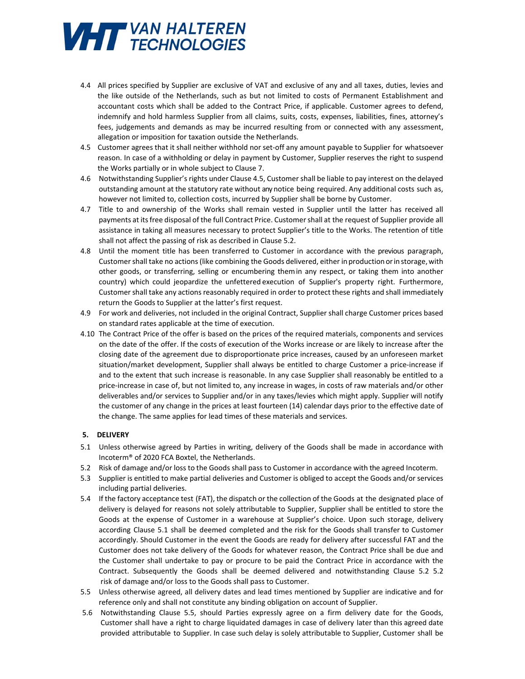

- 4.4 All prices specified by Supplier are exclusive of VAT and exclusive of any and all taxes, duties, levies and the like outside of the Netherlands, such as but not limited to costs of Permanent Establishment and accountant costs which shall be added to the Contract Price, if applicable. Customer agrees to defend, indemnify and hold harmless Supplier from all claims, suits, costs, expenses, liabilities, fines, attorney's fees, judgements and demands as may be incurred resulting from or connected with any assessment, allegation or imposition for taxation outside the Netherlands.
- 4.5 Customer agrees that it shall neither withhold nor set-off any amount payable to Supplier for whatsoever reason. In case of a withholding or delay in payment by Customer, Supplier reserves the right to suspend the Works partially or in whole subject to Clause 7.
- 4.6 Notwithstanding Supplier's rights under Clause 4.5, Customer shall be liable to pay interest on the delayed outstanding amount at the statutory rate without any notice being required. Any additional costs such as, however not limited to, collection costs, incurred by Supplier shall be borne by Customer.
- 4.7 Title to and ownership of the Works shall remain vested in Supplier until the latter has received all payments at its free disposal of the full Contract Price. Customer shall at the request of Supplier provide all assistance in taking all measures necessary to protect Supplier's title to the Works. The retention of title shall not affect the passing of risk as described in Clause 5.2.
- 4.8 Until the moment title has been transferred to Customer in accordance with the previous paragraph, Customer shall take no actions (like combining the Goods delivered, either in production or in storage, with other goods, or transferring, selling or encumbering them in any respect, or taking them into another country) which could jeopardize the unfettered execution of Supplier's property right. Furthermore, Customer shall take any actions reasonably required in order to protect these rights and shall immediately return the Goods to Supplier at the latter's first request.
- 4.9 For work and deliveries, not included in the original Contract, Supplier shall charge Customer prices based on standard rates applicable at the time of execution.
- 4.10 The Contract Price of the offer is based on the prices of the required materials, components and services on the date of the offer. If the costs of execution of the Works increase or are likely to increase after the closing date of the agreement due to disproportionate price increases, caused by an unforeseen market situation/market development, Supplier shall always be entitled to charge Customer a price-increase if and to the extent that such increase is reasonable. In any case Supplier shall reasonably be entitled to a price-increase in case of, but not limited to, any increase in wages, in costs of raw materials and/or other deliverables and/or services to Supplier and/or in any taxes/levies which might apply. Supplier will notify the customer of any change in the prices at least fourteen (14) calendar days prior to the effective date of the change. The same applies for lead times of these materials and services.

### **5. DELIVERY**

- 5.1 Unless otherwise agreed by Parties in writing, delivery of the Goods shall be made in accordance with Incoterm® of 2020 FCA Boxtel, the Netherlands.
- 5.2 Risk of damage and/or loss to the Goods shall pass to Customer in accordance with the agreed Incoterm.
- 5.3 Supplier is entitled to make partial deliveries and Customer is obliged to accept the Goods and/or services including partial deliveries.
- 5.4 If the factory acceptance test (FAT), the dispatch or the collection of the Goods at the designated place of delivery is delayed for reasons not solely attributable to Supplier, Supplier shall be entitled to store the Goods at the expense of Customer in a warehouse at Supplier's choice. Upon such storage, delivery according Clause 5.1 shall be deemed completed and the risk for the Goods shall transfer to Customer accordingly. Should Customer in the event the Goods are ready for delivery after successful FAT and the Customer does not take delivery of the Goods for whatever reason, the Contract Price shall be due and the Customer shall undertake to pay or procure to be paid the Contract Price in accordance with the Contract. Subsequently the Goods shall be deemed delivered and notwithstanding Clause 5.2 5.2 risk of damage and/or loss to the Goods shall pass to Customer.
- 5.5 Unless otherwise agreed, all delivery dates and lead times mentioned by Supplier are indicative and for reference only and shall not constitute any binding obligation on account of Supplier.
- 5.6 Notwithstanding Clause 5.5, should Parties expressly agree on a firm delivery date for the Goods, Customer shall have a right to charge liquidated damages in case of delivery later than this agreed date provided attributable to Supplier. In case such delay is solely attributable to Supplier, Customer shall be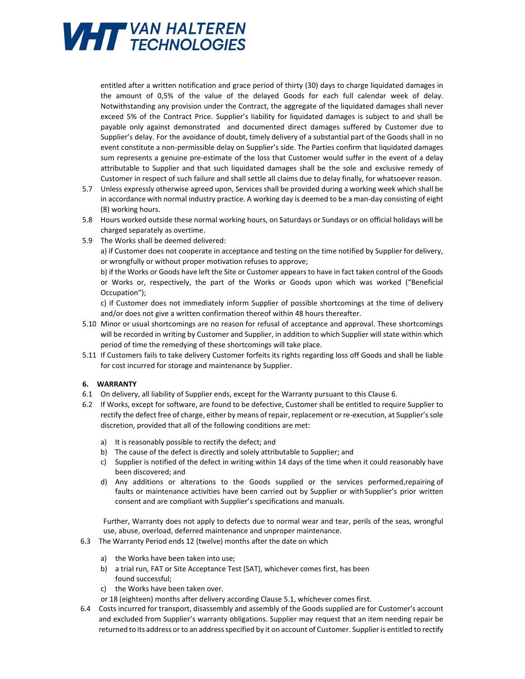

entitled after a written notification and grace period of thirty (30) days to charge liquidated damages in the amount of 0,5% of the value of the delayed Goods for each full calendar week of delay. Notwithstanding any provision under the Contract, the aggregate of the liquidated damages shall never exceed 5% of the Contract Price. Supplier's liability for liquidated damages is subject to and shall be payable only against demonstrated and documented direct damages suffered by Customer due to Supplier's delay. For the avoidance of doubt, timely delivery of a substantial part of the Goods shall in no event constitute a non-permissible delay on Supplier's side. The Parties confirm that liquidated damages sum represents a genuine pre-estimate of the loss that Customer would suffer in the event of a delay attributable to Supplier and that such liquidated damages shall be the sole and exclusive remedy of Customer in respect of such failure and shall settle all claims due to delay finally, for whatsoever reason.

- 5.7 Unless expressly otherwise agreed upon, Services shall be provided during a working week which shall be in accordance with normal industry practice. A working day is deemed to be a man-day consisting of eight (8) working hours.
- 5.8 Hours worked outside these normal working hours, on Saturdays or Sundays or on official holidays will be charged separately as overtime.
- 5.9 The Works shall be deemed delivered:

a) if Customer does not cooperate in acceptance and testing on the time notified by Supplier for delivery, or wrongfully or without proper motivation refuses to approve;

b) if the Works or Goods have left the Site or Customer appears to have in fact taken control of the Goods or Works or, respectively, the part of the Works or Goods upon which was worked ("Beneficial Occupation");

c) if Customer does not immediately inform Supplier of possible shortcomings at the time of delivery and/or does not give a written confirmation thereof within 48 hours thereafter.

- 5.10 Minor or usual shortcomings are no reason for refusal of acceptance and approval. These shortcomings will be recorded in writing by Customer and Supplier, in addition to which Supplier will state within which period of time the remedying of these shortcomings will take place.
- 5.11 If Customers fails to take delivery Customer forfeits its rights regarding loss off Goods and shall be liable for cost incurred for storage and maintenance by Supplier.

### **6. WARRANTY**

- 6.1 On delivery, all liability of Supplier ends, except for the Warranty pursuant to this Clause 6.
- 6.2 If Works, except for software, are found to be defective, Customer shall be entitled to require Supplier to rectify the defect free of charge, either by means of repair, replacement or re-execution, at Supplier's sole discretion, provided that all of the following conditions are met:
	- a) It is reasonably possible to rectify the defect; and
	- b) The cause of the defect is directly and solely attributable to Supplier; and
	- c) Supplier is notified of the defect in writing within 14 days of the time when it could reasonably have been discovered; and
	- d) Any additions or alterations to the Goods supplied or the services performed, repairing of faults or maintenance activities have been carried out by Supplier or with Supplier's prior written consent and are compliant with Supplier's specifications and manuals.

Further, Warranty does not apply to defects due to normal wear and tear, perils of the seas, wrongful use, abuse, overload, deferred maintenance and unproper maintenance.

- 6.3 The Warranty Period ends 12 (twelve) months after the date on which
	- a) the Works have been taken into use;
	- b) a trial run, FAT or Site Acceptance Test (SAT), whichever comes first, has been found successful;
	- c) the Works have been taken over.
	- or 18 (eighteen) months after delivery according Clause 5.1, whichever comes first.
- 6.4 Costs incurred for transport, disassembly and assembly of the Goods supplied are for Customer's account and excluded from Supplier's warranty obligations. Supplier may request that an item needing repair be returned to its address or to an address specified by it on account of Customer. Supplier is entitled to rectify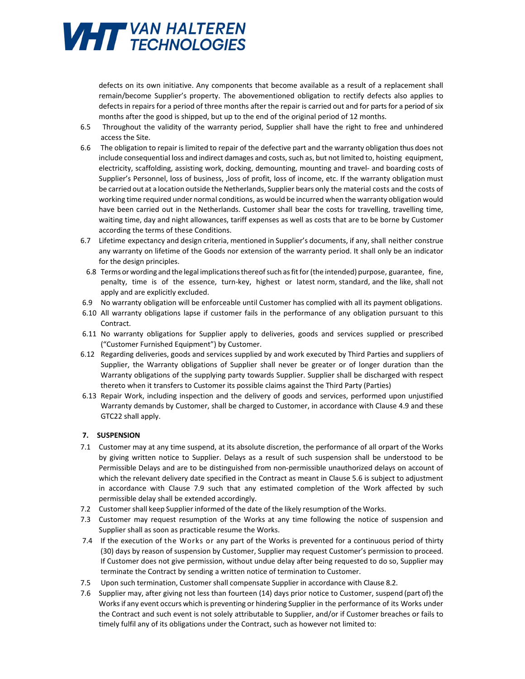

defects on its own initiative. Any components that become available as a result of a replacement shall remain/become Supplier's property. The abovementioned obligation to rectify defects also applies to defects in repairs for a period of three months after the repair is carried out and for parts for a period of six months after the good is shipped, but up to the end of the original period of 12 months.

- 6.5 Throughout the validity of the warranty period, Supplier shall have the right to free and unhindered access the Site.
- 6.6 The obligation to repair is limited to repair of the defective part and the warranty obligation thus does not include consequential loss and indirect damages and costs, such as, but not limited to, hoisting equipment, electricity, scaffolding, assisting work, docking, demounting, mounting and travel- and boarding costs of Supplier's Personnel, loss of business, ,loss of profit, loss of income, etc. If the warranty obligation must be carried out at a location outside the Netherlands, Supplier bears only the material costs and the costs of working time required under normal conditions, as would be incurred when the warranty obligation would have been carried out in the Netherlands. Customer shall bear the costs for travelling, travelling time, waiting time, day and night allowances, tariff expenses as well as costs that are to be borne by Customer according the terms of these Conditions.
- 6.7 Lifetime expectancy and design criteria, mentioned in Supplier's documents, if any, shall neither construe any warranty on lifetime of the Goods nor extension of the warranty period. It shall only be an indicator for the design principles.
- 6.8 Terms or wording and the legal implications thereof such as fit for (the intended) purpose, guarantee, fine, penalty, time is of the essence, turn-key, highest or latest norm, standard, and the like, shall not apply and are explicitly excluded.
- 6.9 No warranty obligation will be enforceable until Customer has complied with all its payment obligations.
- 6.10 All warranty obligations lapse if customer fails in the performance of any obligation pursuant to this Contract.
- 6.11 No warranty obligations for Supplier apply to deliveries, goods and services supplied or prescribed ("Customer Furnished Equipment") by Customer.
- 6.12 Regarding deliveries, goods and services supplied by and work executed by Third Parties and suppliers of Supplier, the Warranty obligations of Supplier shall never be greater or of longer duration than the Warranty obligations of the supplying party towards Supplier. Supplier shall be discharged with respect thereto when it transfers to Customer its possible claims against the Third Party (Parties)
- 6.13 Repair Work, including inspection and the delivery of goods and services, performed upon unjustified Warranty demands by Customer, shall be charged to Customer, in accordance with Clause 4.9 and these GTC22 shall apply.

### **7. SUSPENSION**

- 7.1 Customer may at any time suspend, at its absolute discretion, the performance of all orpart of the Works by giving written notice to Supplier. Delays as a result of such suspension shall be understood to be Permissible Delays and are to be distinguished from non-permissible unauthorized delays on account of which the relevant delivery date specified in the Contract as meant in Clause 5.6 is subject to adjustment in accordance with Clause 7.9 such that any estimated completion of the Work affected by such permissible delay shall be extended accordingly.
- 7.2 Customer shall keep Supplier informed of the date of the likely resumption of the Works.
- 7.3 Customer may request resumption of the Works at any time following the notice of suspension and Supplier shall as soon as practicable resume the Works.
- 7.4 If the execution of the Works or any part of the Works is prevented for a continuous period of thirty (30) days by reason of suspension by Customer, Supplier may request Customer's permission to proceed. If Customer does not give permission, without undue delay after being requested to do so, Supplier may terminate the Contract by sending a written notice of termination to Customer.
- 7.5 Upon such termination, Customer shall compensate Supplier in accordance with Clause 8.2.
- 7.6 Supplier may, after giving not less than fourteen (14) days prior notice to Customer, suspend (part of) the Works if any event occurs which is preventing or hindering Supplier in the performance of its Works under the Contract and such event is not solely attributable to Supplier, and/or if Customer breaches or fails to timely fulfil any of its obligations under the Contract, such as however not limited to: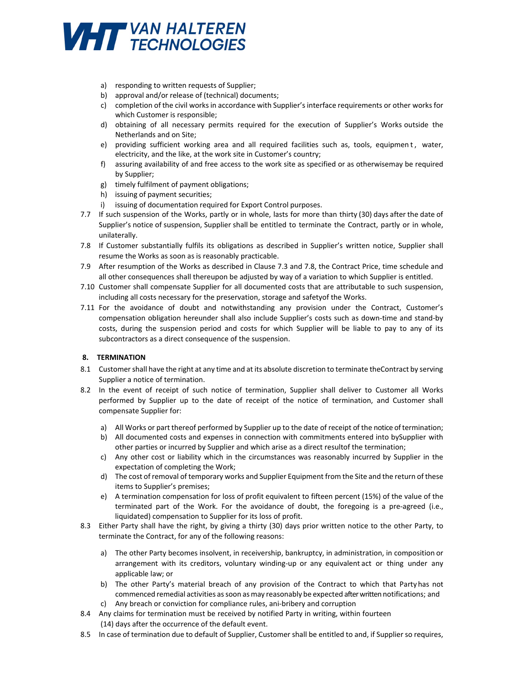

- a) responding to written requests of Supplier;
- b) approval and/or release of (technical) documents;
- c) completion of the civil works in accordance with Supplier's interface requirements or other works for which Customer is responsible;
- d) obtaining of all necessary permits required for the execution of Supplier's Works outside the Netherlands and on Site;
- e) providing sufficient working area and all required facilities such as, tools, equipmen t, water, electricity, and the like, at the work site in Customer's country;
- f) assuring availability of and free access to the work site as specified or as otherwise may be required by Supplier;
- g) timely fulfilment of payment obligations;
- h) issuing of payment securities;
- i) issuing of documentation required for Export Control purposes.
- 7.7 If such suspension of the Works, partly or in whole, lasts for more than thirty (30) days after the date of Supplier's notice of suspension, Supplier shall be entitled to terminate the Contract, partly or in whole, unilaterally.
- 7.8 If Customer substantially fulfils its obligations as described in Supplier's written notice, Supplier shall resume the Works as soon as is reasonably practicable.
- 7.9 After resumption of the Works as described in Clause 7.3 and 7.8, the Contract Price, time schedule and all other consequences shall thereupon be adjusted by way of a variation to which Supplier is entitled.
- 7.10 Customer shall compensate Supplier for all documented costs that are attributable to such suspension, including all costs necessary for the preservation, storage and safety of the Works.
- 7.11 For the avoidance of doubt and notwithstanding any provision under the Contract, Customer's compensation obligation hereunder shall also include Supplier's costs such as down-time and stand-by costs, during the suspension period and costs for which Supplier will be liable to pay to any of its subcontractors as a direct consequence of the suspension.

### **8. TERMINATION**

- 8.1 Customer shall have the right at any time and at its absolute discretion to terminate the Contract by serving Supplier a notice of termination.
- 8.2 In the event of receipt of such notice of termination, Supplier shall deliver to Customer all Works performed by Supplier up to the date of receipt of the notice of termination, and Customer shall compensate Supplier for:
	- a) All Works or part thereof performed by Supplier up to the date of receipt of the notice of termination;
	- b) All documented costs and expenses in connection with commitments entered into by Supplier with other parties or incurred by Supplier and which arise as a direct resultof the termination;
	- c) Any other cost or liability which in the circumstances was reasonably incurred by Supplier in the expectation of completing the Work;
	- d) The cost of removal of temporary works and Supplier Equipment from the Site and the return of these items to Supplier's premises;
	- e) A termination compensation for loss of profit equivalent to fifteen percent (15%) of the value of the terminated part of the Work. For the avoidance of doubt, the foregoing is a pre-agreed (i.e., liquidated) compensation to Supplier for its loss of profit.
- 8.3 Either Party shall have the right, by giving a thirty (30) days prior written notice to the other Party, to terminate the Contract, for any of the following reasons:
	- a) The other Party becomes insolvent, in receivership, bankruptcy, in administration, in composition or arrangement with its creditors, voluntary winding-up or any equivalent act or thing under any applicable law; or
	- b) The other Party's material breach of any provision of the Contract to which that Party has not commenced remedial activities as soon as may reasonably be expected after written notifications; and
	- c) Any breach or conviction for compliance rules, ani-bribery and corruption
- 8.4 Any claims for termination must be received by notified Party in writing, within fourteen (14) days after the occurrence of the default event.
- 8.5 In case of termination due to default of Supplier, Customer shall be entitled to and, if Supplier so requires,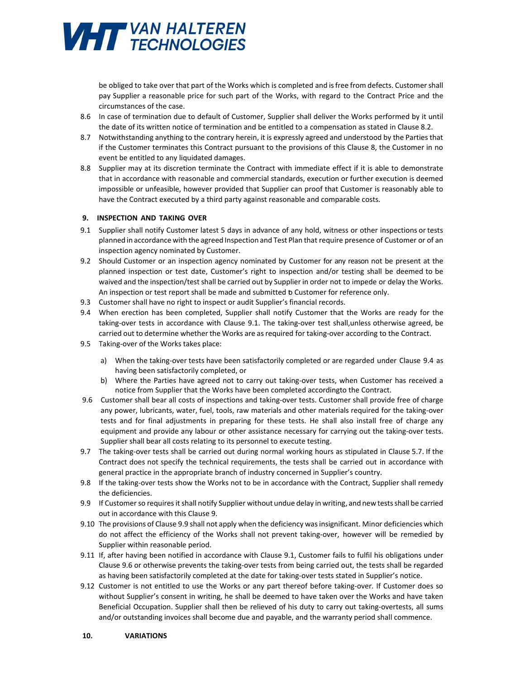

be obliged to take over that part of the Works which is completed and is free from defects. Customer shall pay Supplier a reasonable price for such part of the Works, with regard to the Contract Price and the circumstances of the case.

- 8.6 In case of termination due to default of Customer, Supplier shall deliver the Works performed by it until the date of its written notice of termination and be entitled to a compensation as stated in Clause 8.2.
- 8.7 Notwithstanding anything to the contrary herein, it is expressly agreed and understood by the Parties that if the Customer terminates this Contract pursuant to the provisions of this Clause 8, the Customer in no event be entitled to any liquidated damages.
- 8.8 Supplier may at its discretion terminate the Contract with immediate effect if it is able to demonstrate that in accordance with reasonable and commercial standards, execution or further execution is deemed impossible or unfeasible, however provided that Supplier can proof that Customer is reasonably able to have the Contract executed by a third party against reasonable and comparable costs.

### **9. INSPECTION AND TAKING OVER**

- 9.1 Supplier shall notify Customer latest 5 days in advance of any hold, witness or other inspections or tests planned in accordance with the agreed Inspection and Test Plan that require presence of Customer or of an inspection agency nominated by Customer.
- 9.2 Should Customer or an inspection agency nominated by Customer for any reason not be present at the planned inspection or test date, Customer's right to inspection and/or testing shall be deemed to be waived and the inspection/test shall be carried out by Supplier in order not to impede or delay the Works. An inspection or test report shall be made and submitted b Customer for reference only.
- 9.3 Customer shall have no right to inspect or audit Supplier's financial records.
- 9.4 When erection has been completed, Supplier shall notify Customer that the Works are ready for the taking-over tests in accordance with Clause 9.1. The taking-over test shall, unless otherwise agreed, be carried out to determine whether the Works are as required for taking-over according to the Contract.
- 9.5 Taking-over of the Works takes place:
	- a) When the taking-over tests have been satisfactorily completed or are regarded under Clause 9.4 as having been satisfactorily completed, or
	- b) Where the Parties have agreed not to carry out taking-over tests, when Customer has received a notice from Supplier that the Works have been completed accordingto the Contract.
- 9.6 Customer shall bear all costs of inspections and taking-over tests. Customer shall provide free of charge any power, lubricants, water, fuel, tools, raw materials and other materials required for the taking-over tests and for final adjustments in preparing for these tests. He shall also install free of charge any equipment and provide any labour or other assistance necessary for carrying out the taking-over tests. Supplier shall bear all costs relating to its personnel to execute testing.
- 9.7 The taking-over tests shall be carried out during normal working hours as stipulated in Clause 5.7. If the Contract does not specify the technical requirements, the tests shall be carried out in accordance with general practice in the appropriate branch of industry concerned in Supplier's country.
- 9.8 If the taking-over tests show the Works not to be in accordance with the Contract, Supplier shall remedy the deficiencies.
- 9.9 If Customer so requires it shall notify Supplier without undue delay in writing, and new tests shall be carried out in accordance with this Clause 9.
- 9.10 The provisions of Clause 9.9 shall not apply when the deficiency was insignificant. Minor deficiencies which do not affect the efficiency of the Works shall not prevent taking-over, however will be remedied by Supplier within reasonable period.
- 9.11 If, after having been notified in accordance with Clause 9.1, Customer fails to fulfil his obligations under Clause 9.6 or otherwise prevents the taking-over tests from being carried out, the tests shall be regarded as having been satisfactorily completed at the date for taking-over tests stated in Supplier's notice.
- 9.12 Customer is not entitled to use the Works or any part thereof before taking-over. If Customer does so without Supplier's consent in writing, he shall be deemed to have taken over the Works and have taken Beneficial Occupation. Supplier shall then be relieved of his duty to carry out taking-overtests, all sums and/or outstanding invoices shall become due and payable, and the warranty period shall commence.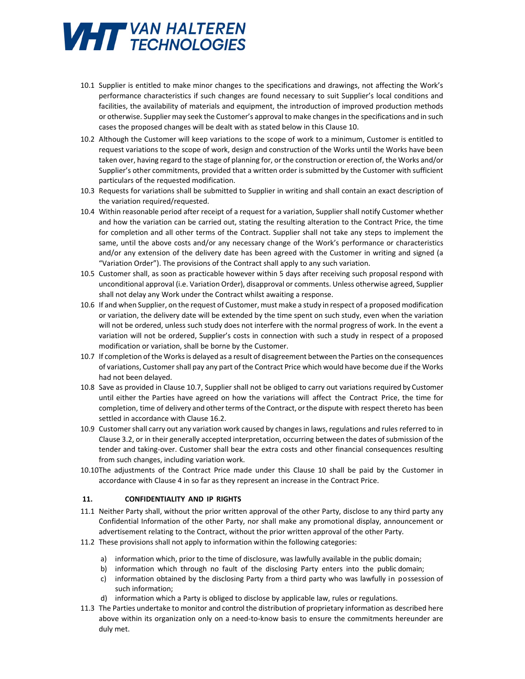# **VHTT** VAN HALTEREN

- 10.1 Supplier is entitled to make minor changes to the specifications and drawings, not affecting the Work's performance characteristics if such changes are found necessary to suit Supplier's local conditions and facilities, the availability of materials and equipment, the introduction of improved production methods or otherwise. Supplier may seek the Customer's approval to make changes in the specifications and in such cases the proposed changes will be dealt with as stated below in this Clause 10.
- 10.2 Although the Customer will keep variations to the scope of work to a minimum, Customer is entitled to request variations to the scope of work, design and construction of the Works until the Works have been taken over, having regard to the stage of planning for, or the construction or erection of, the Works and/or Supplier's other commitments, provided that a written order is submitted by the Customer with sufficient particulars of the requested modification.
- 10.3 Requests for variations shall be submitted to Supplier in writing and shall contain an exact description of the variation required/requested.
- 10.4 Within reasonable period after receipt of a request for a variation, Supplier shall notify Customer whether and how the variation can be carried out, stating the resulting alteration to the Contract Price, the time for completion and all other terms of the Contract. Supplier shall not take any steps to implement the same, until the above costs and/or any necessary change of the Work's performance or characteristics and/or any extension of the delivery date has been agreed with the Customer in writing and signed (a "Variation Order"). The provisions of the Contract shall apply to any such variation.
- 10.5 Customer shall, as soon as practicable however within 5 days after receiving such proposal respond with unconditional approval (i.e. Variation Order), disapproval or comments. Unless otherwise agreed, Supplier shall not delay any Work under the Contract whilst awaiting a response.
- 10.6 If and when Supplier, on the request of Customer, must make a study in respect of a proposed modification or variation, the delivery date will be extended by the time spent on such study, even when the variation will not be ordered, unless such study does not interfere with the normal progress of work. In the event a variation will not be ordered, Supplier's costs in connection with such a study in respect of a proposed modification or variation, shall be borne by the Customer.
- 10.7 If completion of the Works is delayed as a result of disagreement between the Parties on the consequences of variations, Customer shall pay any part of the Contract Price which would have become due if the Works had not been delayed.
- 10.8 Save as provided in Clause 10.7, Supplier shall not be obliged to carry out variations required by Customer until either the Parties have agreed on how the variations will affect the Contract Price, the time for completion, time of delivery and other terms of the Contract, or the dispute with respect thereto has been settled in accordance with Clause 16.2.
- 10.9 Customer shall carry out any variation work caused by changes in laws, regulations and rules referred to in Clause 3.2, or in their generally accepted interpretation, occurring between the dates of submission of the tender and taking-over. Customer shall bear the extra costs and other financial consequences resulting from such changes, including variation work.
- 10.10The adjustments of the Contract Price made under this Clause 10 shall be paid by the Customer in accordance with Clause 4 in so far as they represent an increase in the Contract Price.

### **11. CONFIDENTIALITY AND IP RIGHTS**

- 11.1 Neither Party shall, without the prior written approval of the other Party, disclose to any third party any Confidential Information of the other Party, nor shall make any promotional display, announcement or advertisement relating to the Contract, without the prior written approval of the other Party.
- 11.2 These provisions shall not apply to information within the following categories:
	- a) information which, prior to the time of disclosure, was lawfully available in the public domain;
	- b) information which through no fault of the disclosing Party enters into the public domain;
	- c) information obtained by the disclosing Party from a third party who was lawfully in possession of such information;
	- d) information which a Party is obliged to disclose by applicable law, rules or regulations.
- 11.3 The Parties undertake to monitor and control the distribution of proprietary information as described here above within its organization only on a need-to-know basis to ensure the commitments hereunder are duly met.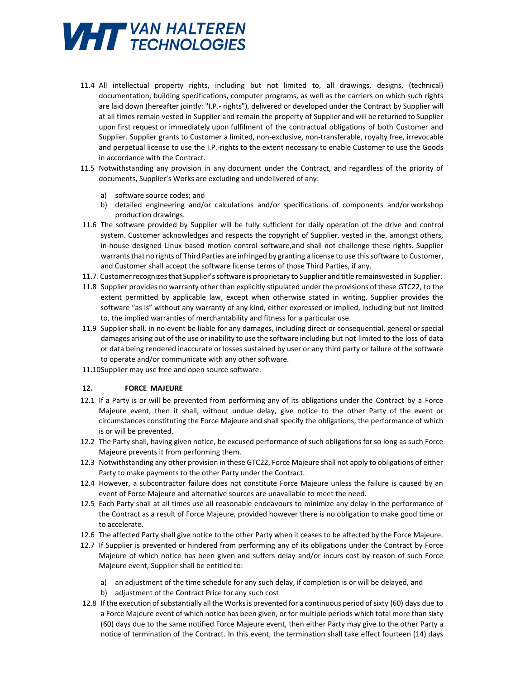

- 11.4 All intellectual property rights, including but not limited to, all drawings, designs, (technical) documentation, building specifications, computer programs, as well as the carriers on which such rights are laid down (hereafter jointly: "I.P.- rights"), delivered or developed under the Contract by Supplier will at all times remain vested in Supplier and remain the property of Supplier and will be returned to Supplier upon first request or immediately upon fulfilment of the contractual obligations of both Customer and Supplier. Supplier grants to Customer a limited, non-exclusive, non-transferable, royalty free, irrevocable and perpetual license to use the I.P.-rights to the extent necessary to enable Customer to use the Goods in accordance with the Contract.
- 11.5 Notwithstanding any provision in any document under the Contract, and regardless of the priority of documents, Supplier's Works are excluding and undelivered of any:
	- a) software source codes; and
	- b) detailed engineering and/or calculations and/or specifications of components and/or workshop production drawings.
- 11.6 The software provided by Supplier will be fully sufficient for daily operation of the drive and control system. Customer acknowledges and respects the copyright of Supplier, vested in the, amongst others, in-house designed Linux based motion control software, and shall not challenge these rights. Supplier warrants that no rights of Third Parties are infringed by granting a license to use this software to Customer, and Customer shall accept the software license terms of those Third Parties, if any.
- 11.7. Customer recognizes that Supplier's software is proprietary to Supplier and title remainsvested in Supplier.
- 11.8 Supplier provides no warranty other than explicitly stipulated under the provisions of these GTC22, to the extent permitted by applicable law, except when otherwise stated in writing. Supplier provides the software "as is" without any warranty of any kind, either expressed or implied, including but not limited to, the implied warranties of merchantability and fitness for a particular use.
- 11.9 Supplier shall, in no event be liable for any damages, including direct or consequential, general or special damages arising out of the use or inability to use the software including but not limited to the loss of data or data being rendered inaccurate or losses sustained by user or any third party or failure of the software to operate and/or communicate with any other software.
- 11.10Supplier may use free and open source software.

### **12. FORCE MAJEURE**

- 12.1 If a Party is or will be prevented from performing any of its obligations under the Contract by a Force Majeure event, then it shall, without undue delay, give notice to the other Party of the event or circumstances constituting the Force Majeure and shall specify the obligations, the performance of which is or will be prevented.
- 12.2 The Party shall, having given notice, be excused performance of such obligations for so long as such Force Majeure prevents it from performing them.
- 12.3 Notwithstanding any other provision in these GTC22, Force Majeure shall not apply to obligations of either Party to make payments to the other Party under the Contract.
- 12.4 However, a subcontractor failure does not constitute Force Majeure unless the failure is caused by an event of Force Majeure and alternative sources are unavailable to meet the need.
- 12.5 Each Party shall at all times use all reasonable endeavours to minimize any delay in the performance of the Contract as a result of Force Majeure, provided however there is no obligation to make good time or to accelerate.
- 12.6 The affected Party shall give notice to the other Party when it ceases to be affected by the Force Majeure.
- 12.7 If Supplier is prevented or hindered from performing any of its obligations under the Contract by Force Majeure of which notice has been given and suffers delay and/or incurs cost by reason of such Force Majeure event, Supplier shall be entitled to:
	- a) an adjustment of the time schedule for any such delay, if completion is or will be delayed, and
	- b) adjustment of the Contract Price for any such cost
- 12.8 If the execution of substantially all the Works is prevented for a continuous period of sixty (60) days due to a Force Majeure event of which notice has been given, or for multiple periods which total more than sixty (60) days due to the same notified Force Majeure event, then either Party may give to the other Party a notice of termination of the Contract. In this event, the termination shall take effect fourteen (14) days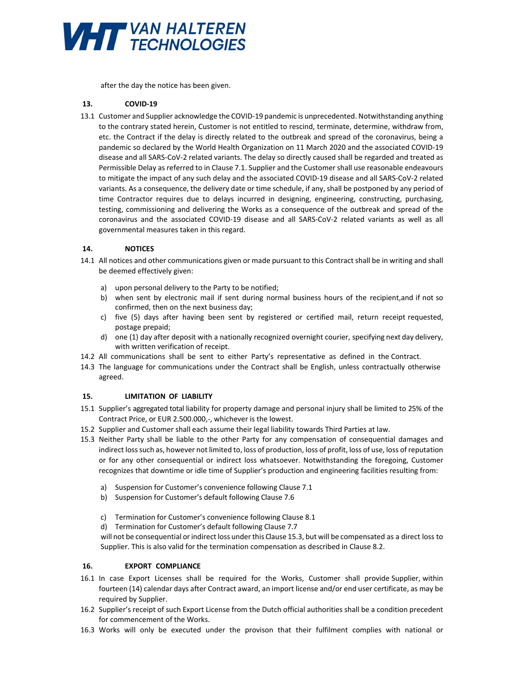

after the day the notice has been given.

## **13. COVID-19**

13.1 Customer and Supplier acknowledge the COVID-19 pandemic is unprecedented. Notwithstanding anything to the contrary stated herein, Customer is not entitled to rescind, terminate, determine, withdraw from, etc. the Contract if the delay is directly related to the outbreak and spread of the coronavirus, being a pandemic so declared by the World Health Organization on 11 March 2020 and the associated COVID-19 disease and all SARS-CoV-2 related variants. The delay so directly caused shall be regarded and treated as Permissible Delay as referred to in Clause 7.1. Supplier and the Customer shall use reasonable endeavours to mitigate the impact of any such delay and the associated COVID-19 disease and all SARS-CoV-2 related variants. As a consequence, the delivery date or time schedule, if any, shall be postponed by any period of time Contractor requires due to delays incurred in designing, engineering, constructing, purchasing, testing, commissioning and delivering the Works as a consequence of the outbreak and spread of the coronavirus and the associated COVID-19 disease and all SARS-CoV-2 related variants as well as all governmental measures taken in this regard.

### **14. NOTICES**

- 14.1 All notices and other communications given or made pursuant to this Contract shall be in writing and shall be deemed effectively given:
	- a) upon personal delivery to the Party to be notified;
	- b) when sent by electronic mail if sent during normal business hours of the recipient, and if not so confirmed, then on the next business day;
	- c) five (5) days after having been sent by registered or certified mail, return receipt requested, postage prepaid;
	- d) one (1) day after deposit with a nationally recognized overnight courier, specifying next day delivery, with written verification of receipt.
- 14.2 All communications shall be sent to either Party's representative as defined in the Contract.
- 14.3 The language for communications under the Contract shall be English, unless contractually otherwise agreed.

### **15. LIMITATION OF LIABILITY**

- 15.1 Supplier's aggregated total liability for property damage and personal injury shall be limited to 25% of the Contract Price, or EUR 2.500.000,-, whichever is the lowest.
- 15.2 Supplier and Customer shall each assume their legal liability towards Third Parties at law.
- 15.3 Neither Party shall be liable to the other Party for any compensation of consequential damages and indirect loss such as, however not limited to, loss of production, loss of profit, loss of use, loss of reputation or for any other consequential or indirect loss whatsoever. Notwithstanding the foregoing, Customer recognizes that downtime or idle time of Supplier's production and engineering facilities resulting from:
	- a) Suspension for Customer's convenience following Clause 7.1
	- b) Suspension for Customer's default following Clause 7.6
	- c) Termination for Customer's convenience following Clause 8.1
	- d) Termination for Customer's default following Clause 7.7

will not be consequential or indirect loss under this Clause 15.3, but will be compensated as a direct loss to Supplier. This is also valid for the termination compensation as described in Clause 8.2.

# **16. EXPORT COMPLIANCE**

- 16.1 In case Export Licenses shall be required for the Works, Customer shall provide Supplier, within fourteen (14) calendar days after Contract award, an import license and/or end user certificate, as may be required by Supplier.
- 16.2 Supplier's receipt of such Export License from the Dutch official authorities shall be a condition precedent for commencement of the Works.
- 16.3 Works will only be executed under the provison that their fulfilment complies with national or